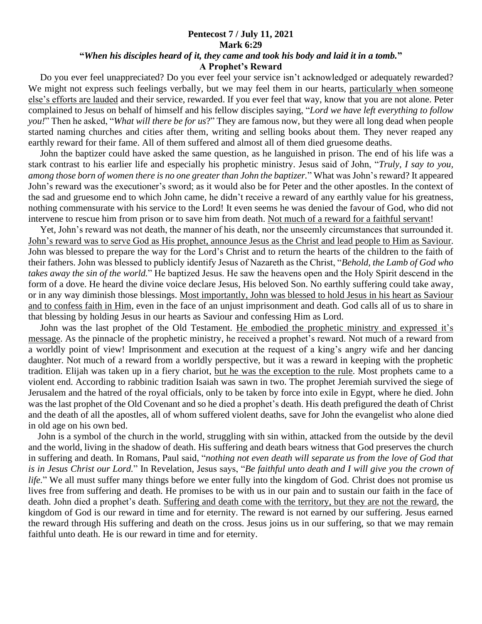## **Pentecost 7 / July 11, 2021 Mark 6:29 "***When his disciples heard of it, they came and took his body and laid it in a tomb.***" A Prophet's Reward**

 Do you ever feel unappreciated? Do you ever feel your service isn't acknowledged or adequately rewarded? We might not express such feelings verbally, but we may feel them in our hearts, particularly when someone else's efforts are lauded and their service, rewarded. If you ever feel that way, know that you are not alone. Peter complained to Jesus on behalf of himself and his fellow disciples saying, "*Lord we have left everything to follow you!*" Then he asked, "*What will there be for us*?" They are famous now, but they were all long dead when people started naming churches and cities after them, writing and selling books about them. They never reaped any earthly reward for their fame. All of them suffered and almost all of them died gruesome deaths.

 John the baptizer could have asked the same question, as he languished in prison. The end of his life was a stark contrast to his earlier life and especially his prophetic ministry. Jesus said of John, "*Truly, I say to you, among those born of women there is no one greater than John the baptizer.*" What was John's reward? It appeared John's reward was the executioner's sword; as it would also be for Peter and the other apostles. In the context of the sad and gruesome end to which John came, he didn't receive a reward of any earthly value for his greatness, nothing commensurate with his service to the Lord! It even seems he was denied the favour of God, who did not intervene to rescue him from prison or to save him from death. Not much of a reward for a faithful servant!

 Yet, John's reward was not death, the manner of his death, nor the unseemly circumstances that surrounded it. John's reward was to serve God as His prophet, announce Jesus as the Christ and lead people to Him as Saviour. John was blessed to prepare the way for the Lord's Christ and to return the hearts of the children to the faith of their fathers. John was blessed to publicly identify Jesus of Nazareth as the Christ, "*Behold, the Lamb of God who takes away the sin of the world.*" He baptized Jesus. He saw the heavens open and the Holy Spirit descend in the form of a dove. He heard the divine voice declare Jesus, His beloved Son. No earthly suffering could take away, or in any way diminish those blessings. Most importantly, John was blessed to hold Jesus in his heart as Saviour and to confess faith in Him, even in the face of an unjust imprisonment and death. God calls all of us to share in that blessing by holding Jesus in our hearts as Saviour and confessing Him as Lord.

 John was the last prophet of the Old Testament. He embodied the prophetic ministry and expressed it's message. As the pinnacle of the prophetic ministry, he received a prophet's reward. Not much of a reward from a worldly point of view! Imprisonment and execution at the request of a king's angry wife and her dancing daughter. Not much of a reward from a worldly perspective, but it was a reward in keeping with the prophetic tradition. Elijah was taken up in a fiery chariot, but he was the exception to the rule. Most prophets came to a violent end. According to rabbinic tradition Isaiah was sawn in two. The prophet Jeremiah survived the siege of Jerusalem and the hatred of the royal officials, only to be taken by force into exile in Egypt, where he died. John was the last prophet of the Old Covenant and so he died a prophet's death. His death prefigured the death of Christ and the death of all the apostles, all of whom suffered violent deaths, save for John the evangelist who alone died in old age on his own bed.

 John is a symbol of the church in the world, struggling with sin within, attacked from the outside by the devil and the world, living in the shadow of death. His suffering and death bears witness that God preserves the church in suffering and death. In Romans, Paul said, "*nothing not even death will separate us from the love of God that is in Jesus Christ our Lord.*" In Revelation, Jesus says, "*Be faithful unto death and I will give you the crown of life.*" We all must suffer many things before we enter fully into the kingdom of God. Christ does not promise us lives free from suffering and death. He promises to be with us in our pain and to sustain our faith in the face of death. John died a prophet's death. Suffering and death come with the territory, but they are not the reward, the kingdom of God is our reward in time and for eternity. The reward is not earned by our suffering. Jesus earned the reward through His suffering and death on the cross. Jesus joins us in our suffering, so that we may remain faithful unto death. He is our reward in time and for eternity.